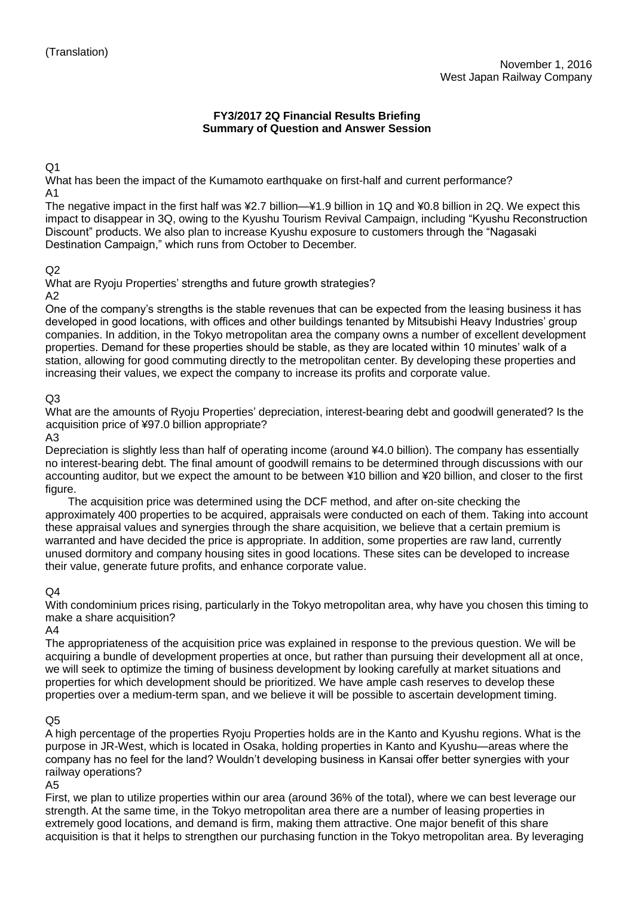## **FY3/2017 2Q Financial Results Briefing Summary of Question and Answer Session**

Q1

What has been the impact of the Kumamoto earthquake on first-half and current performance? A1

The negative impact in the first half was ¥2.7 billion—¥1.9 billion in 1Q and ¥0.8 billion in 2Q. We expect this impact to disappear in 3Q, owing to the Kyushu Tourism Revival Campaign, including "Kyushu Reconstruction Discount" products. We also plan to increase Kyushu exposure to customers through the "Nagasaki Destination Campaign," which runs from October to December.

## $O<sub>2</sub>$

What are Ryoju Properties' strengths and future growth strategies?

A2

One of the company's strengths is the stable revenues that can be expected from the leasing business it has developed in good locations, with offices and other buildings tenanted by Mitsubishi Heavy Industries' group companies. In addition, in the Tokyo metropolitan area the company owns a number of excellent development properties. Demand for these properties should be stable, as they are located within 10 minutes' walk of a station, allowing for good commuting directly to the metropolitan center. By developing these properties and increasing their values, we expect the company to increase its profits and corporate value.

# $O<sub>3</sub>$

What are the amounts of Ryoju Properties' depreciation, interest-bearing debt and goodwill generated? Is the acquisition price of ¥97.0 billion appropriate?

A3

Depreciation is slightly less than half of operating income (around ¥4.0 billion). The company has essentially no interest-bearing debt. The final amount of goodwill remains to be determined through discussions with our accounting auditor, but we expect the amount to be between ¥10 billion and ¥20 billion, and closer to the first figure.

The acquisition price was determined using the DCF method, and after on-site checking the approximately 400 properties to be acquired, appraisals were conducted on each of them. Taking into account these appraisal values and synergies through the share acquisition, we believe that a certain premium is warranted and have decided the price is appropriate. In addition, some properties are raw land, currently unused dormitory and company housing sites in good locations. These sites can be developed to increase their value, generate future profits, and enhance corporate value.

## $O<sub>4</sub>$

With condominium prices rising, particularly in the Tokyo metropolitan area, why have you chosen this timing to make a share acquisition?

A4

The appropriateness of the acquisition price was explained in response to the previous question. We will be acquiring a bundle of development properties at once, but rather than pursuing their development all at once, we will seek to optimize the timing of business development by looking carefully at market situations and properties for which development should be prioritized. We have ample cash reserves to develop these properties over a medium-term span, and we believe it will be possible to ascertain development timing.

## Q5

A high percentage of the properties Ryoju Properties holds are in the Kanto and Kyushu regions. What is the purpose in JR-West, which is located in Osaka, holding properties in Kanto and Kyushu—areas where the company has no feel for the land? Wouldn't developing business in Kansai offer better synergies with your railway operations?

A5

First, we plan to utilize properties within our area (around 36% of the total), where we can best leverage our strength. At the same time, in the Tokyo metropolitan area there are a number of leasing properties in extremely good locations, and demand is firm, making them attractive. One major benefit of this share acquisition is that it helps to strengthen our purchasing function in the Tokyo metropolitan area. By leveraging